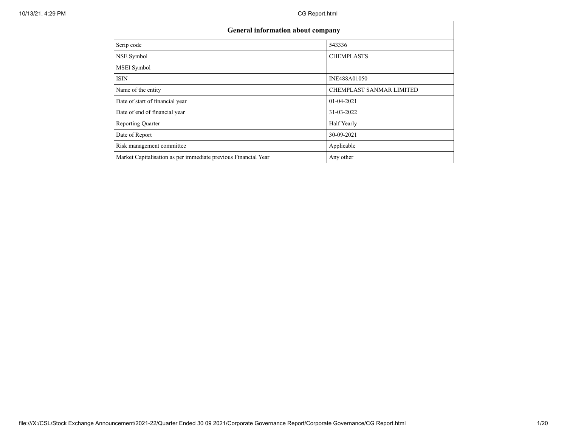| <b>General information about company</b>                       |                          |  |  |  |  |  |
|----------------------------------------------------------------|--------------------------|--|--|--|--|--|
| Scrip code                                                     | 543336                   |  |  |  |  |  |
| NSE Symbol                                                     | <b>CHEMPLASTS</b>        |  |  |  |  |  |
| <b>MSEI</b> Symbol                                             |                          |  |  |  |  |  |
| <b>ISIN</b>                                                    | INE488A01050             |  |  |  |  |  |
| Name of the entity                                             | CHEMPLAST SANMAR LIMITED |  |  |  |  |  |
| Date of start of financial year                                | 01-04-2021               |  |  |  |  |  |
| Date of end of financial year                                  | 31-03-2022               |  |  |  |  |  |
| Reporting Quarter                                              | Half Yearly              |  |  |  |  |  |
| Date of Report                                                 | 30-09-2021               |  |  |  |  |  |
| Risk management committee                                      | Applicable               |  |  |  |  |  |
| Market Capitalisation as per immediate previous Financial Year | Any other                |  |  |  |  |  |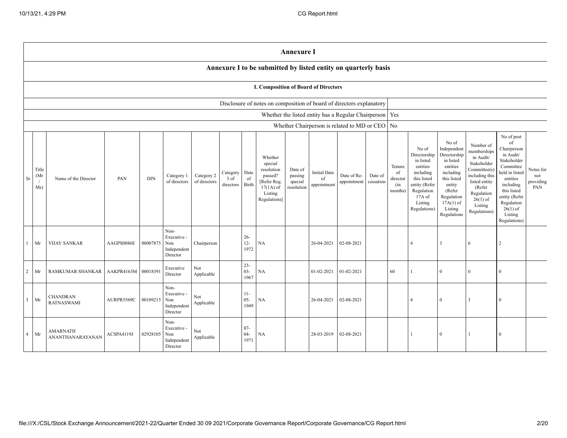|                |                      |                                      |            |            |                                                       |                            |                               |                            |                                                                                                      | <b>Annexure I</b>                           |                                          |                                                           |                      |                                            |                                                                                                                                                  |                                                                                                                                                                      |                                                                                                                                                                          |                                                                                                                                                                                                            |                                      |
|----------------|----------------------|--------------------------------------|------------|------------|-------------------------------------------------------|----------------------------|-------------------------------|----------------------------|------------------------------------------------------------------------------------------------------|---------------------------------------------|------------------------------------------|-----------------------------------------------------------|----------------------|--------------------------------------------|--------------------------------------------------------------------------------------------------------------------------------------------------|----------------------------------------------------------------------------------------------------------------------------------------------------------------------|--------------------------------------------------------------------------------------------------------------------------------------------------------------------------|------------------------------------------------------------------------------------------------------------------------------------------------------------------------------------------------------------|--------------------------------------|
|                |                      |                                      |            |            |                                                       |                            |                               |                            | Annexure I to be submitted by listed entity on quarterly basis                                       |                                             |                                          |                                                           |                      |                                            |                                                                                                                                                  |                                                                                                                                                                      |                                                                                                                                                                          |                                                                                                                                                                                                            |                                      |
|                |                      |                                      |            |            |                                                       |                            |                               |                            | I. Composition of Board of Directors                                                                 |                                             |                                          |                                                           |                      |                                            |                                                                                                                                                  |                                                                                                                                                                      |                                                                                                                                                                          |                                                                                                                                                                                                            |                                      |
|                |                      |                                      |            |            |                                                       |                            |                               |                            | Disclosure of notes on composition of board of directors explanatory                                 |                                             |                                          |                                                           |                      |                                            |                                                                                                                                                  |                                                                                                                                                                      |                                                                                                                                                                          |                                                                                                                                                                                                            |                                      |
|                |                      |                                      |            |            |                                                       |                            |                               |                            |                                                                                                      |                                             |                                          | Whether the listed entity has a Regular Chairperson   Yes |                      |                                            |                                                                                                                                                  |                                                                                                                                                                      |                                                                                                                                                                          |                                                                                                                                                                                                            |                                      |
|                |                      |                                      |            |            |                                                       |                            |                               |                            |                                                                                                      |                                             |                                          | Whether Chairperson is related to MD or CEO   No          |                      |                                            |                                                                                                                                                  |                                                                                                                                                                      |                                                                                                                                                                          |                                                                                                                                                                                                            |                                      |
| $\rm Sr$       | Title<br>(Mr)<br>Ms) | Name of the Director                 | PAN        | <b>DIN</b> | Category 1<br>of directors                            | Category 2<br>of directors | Category<br>3 of<br>directors | Date<br>of<br><b>Birth</b> | Whether<br>special<br>resolution<br>passed?<br>[Refer Reg.<br>$17(1A)$ of<br>Listing<br>Regulations] | Date of<br>passing<br>special<br>resolution | <b>Initial Date</b><br>of<br>appointment | Date of Re-<br>appointment                                | Date of<br>cessation | Tenure<br>of<br>director<br>(in<br>months) | No of<br>Directorship<br>in listed<br>entities<br>including<br>this listed<br>entity (Refer<br>Regulation<br>$17A$ of<br>Listing<br>Regulations) | No of<br>Independent<br>Directorship<br>in listed<br>entities<br>including<br>this listed<br>entity<br>(Refer<br>Regulation<br>$17A(1)$ of<br>Listing<br>Regulations | Number of<br>memberships<br>in Audit/<br>Stakeholder<br>Committee(s)<br>including this<br>listed entity<br>(Refer<br>Regulation<br>$26(1)$ of<br>Listing<br>Regulations) | No of post<br>of<br>Chairperson<br>in Audit/<br>Stakeholder<br>Committee<br>held in listed<br>entities<br>including<br>this listed<br>entity (Refer<br>Regulation<br>$26(1)$ of<br>Listing<br>Regulations) | Notes for<br>not<br>providing<br>PAN |
| L              | Mr                   | <b>VIJAY SANKAR</b>                  | AAGPS0086E | 00007875   | Non-<br>Executive -<br>Non<br>Independent<br>Director | Chairperson                |                               | $26 -$<br>$12 -$<br>1972   | NA                                                                                                   |                                             | 26-04-2021                               | 02-08-2021                                                |                      |                                            | $\overline{4}$                                                                                                                                   | $\overline{\mathbf{3}}$                                                                                                                                              | 6                                                                                                                                                                        | 2                                                                                                                                                                                                          |                                      |
| $\overline{2}$ | Mr                   | RAMKUMAR SHANKAR                     | AAKPR4163M | 00018391   | Executive<br>Director                                 | Not<br>Applicable          |                               | $23 -$<br>$03 -$<br>1967   | NA                                                                                                   |                                             | 01-02-2021                               | 01-02-2021                                                |                      | 60                                         |                                                                                                                                                  | $\mathbf{0}$                                                                                                                                                         | $\overline{0}$                                                                                                                                                           | $\mathbf{0}$                                                                                                                                                                                               |                                      |
| $\overline{3}$ | Mr                   | <b>CHANDRAN</b><br><b>RATNASWAMI</b> | AURPR5569C | 00109215   | Non-<br>Executive -<br>Non<br>Independent<br>Director | Not<br>Applicable          |                               | $11 -$<br>$05 -$<br>1949   | NA                                                                                                   |                                             | 26-04-2021                               | 02-08-2021                                                |                      |                                            | $\Delta$                                                                                                                                         | $\overline{0}$                                                                                                                                                       | $\overline{\mathbf{3}}$                                                                                                                                                  | $\theta$                                                                                                                                                                                                   |                                      |
| $\overline{4}$ | Mr                   | <b>AMARNATH</b><br>ANANTHANARAYANAN  | ACSPA4119J | 02928105   | Non-<br>Executive -<br>Non<br>Independent<br>Director | Not<br>Applicable          |                               | $07 -$<br>$04 -$<br>1971   | <b>NA</b>                                                                                            |                                             | 28-03-2019                               | 02-08-2021                                                |                      |                                            |                                                                                                                                                  | $\theta$                                                                                                                                                             |                                                                                                                                                                          | $\Omega$                                                                                                                                                                                                   |                                      |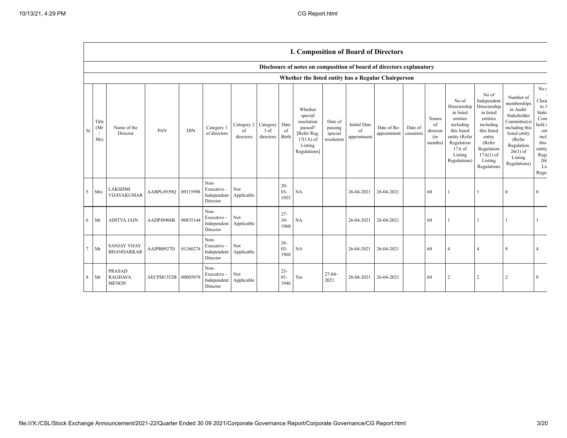## **I. Composition of Board of Directors**

|                |                      |                                                 |            |            |                                                |                               |                               |                          | Disclosure of notes on composition of board of directors explanatory                                 |                                             |                                          |                            |                      |                                            |                                                                                                                                                  |                                                                                                                                                                      |                                                                                                                                                                          |                                                                                                                                                |
|----------------|----------------------|-------------------------------------------------|------------|------------|------------------------------------------------|-------------------------------|-------------------------------|--------------------------|------------------------------------------------------------------------------------------------------|---------------------------------------------|------------------------------------------|----------------------------|----------------------|--------------------------------------------|--------------------------------------------------------------------------------------------------------------------------------------------------|----------------------------------------------------------------------------------------------------------------------------------------------------------------------|--------------------------------------------------------------------------------------------------------------------------------------------------------------------------|------------------------------------------------------------------------------------------------------------------------------------------------|
|                |                      |                                                 |            |            |                                                |                               |                               |                          | Whether the listed entity has a Regular Chairperson                                                  |                                             |                                          |                            |                      |                                            |                                                                                                                                                  |                                                                                                                                                                      |                                                                                                                                                                          |                                                                                                                                                |
| <b>Sr</b>      | Title<br>(Mr)<br>Ms) | Name of the<br>Director                         | PAN        | <b>DIN</b> | Category 1<br>of directors                     | Category 2<br>of<br>directors | Category<br>3 of<br>directors | Date<br>of<br>Birth      | Whether<br>special<br>resolution<br>passed?<br>[Refer Reg.<br>$17(1A)$ of<br>Listing<br>Regulations] | Date of<br>passing<br>special<br>resolution | <b>Initial Date</b><br>of<br>appointment | Date of Re-<br>appointment | Date of<br>cessation | Tenure<br>of<br>director<br>(in<br>months) | No of<br>Directorship<br>in listed<br>entities<br>including<br>this listed<br>entity (Refer<br>Regulation<br>$17A$ of<br>Listing<br>Regulations) | No of<br>Independent<br>Directorship<br>in listed<br>entities<br>including<br>this listed<br>entity<br>(Refer<br>Regulation<br>$17A(1)$ of<br>Listing<br>Regulations | Number of<br>memberships<br>in Audit/<br>Stakeholder<br>Committee(s)<br>including this<br>listed entity<br>(Refer<br>Regulation<br>$26(1)$ of<br>Listing<br>Regulations) | No $\ensuremath{\mathbf{c}}$<br>Chair<br>in A<br><b>Stake</b><br>Com<br>held i<br>ent<br>incl<br>this<br>entity<br>Regu<br>26(<br>Lis<br>Regul |
| 5              | Mrs                  | LAKSHMI<br>VIJAYAKUMAR                          | AABPL6939Q | 09115998   | Non-<br>Executive -<br>Independent<br>Director | Not<br>Applicable             |                               | $20 -$<br>$03 -$<br>1955 | NA                                                                                                   |                                             | 26-04-2021                               | 26-04-2021                 |                      | 60                                         |                                                                                                                                                  |                                                                                                                                                                      | $\overline{0}$                                                                                                                                                           | $\theta$                                                                                                                                       |
| 6              | Mr                   | <b>ADITYA JAIN</b>                              | AADPJ8906B | 00835144   | Non-<br>Executive -<br>Independent<br>Director | Not<br>Applicable             |                               | $27 -$<br>$10-$<br>1960  | NA                                                                                                   |                                             | 26-04-2021                               | 26-04-2021                 |                      | 60                                         |                                                                                                                                                  |                                                                                                                                                                      |                                                                                                                                                                          |                                                                                                                                                |
| $\overline{7}$ | Mr                   | <b>SANJAY VIJAY</b><br><b>BHANDARKAR</b>        | AAIPB0927D | 01260274   | Non-<br>Executive -<br>Independent<br>Director | Not<br>Applicable             |                               | $26 -$<br>$03 -$<br>1968 | NA                                                                                                   |                                             | 26-04-2021                               | 26-04-2021                 |                      | 60                                         | $\overline{A}$                                                                                                                                   |                                                                                                                                                                      | 8                                                                                                                                                                        | $\overline{\mathcal{A}}$                                                                                                                       |
| 8              | Mr                   | <b>PRASAD</b><br><b>RAGHAVA</b><br><b>MENON</b> | AECPM1352B | 00005078   | Non-<br>Executive -<br>Independent<br>Director | Not<br>Applicable             |                               | $23 -$<br>$01 -$<br>1946 | Yes                                                                                                  | $27 - 04 -$<br>2021                         | 26-04-2021                               | 26-04-2021                 |                      | 60                                         | 2                                                                                                                                                | $\overline{2}$                                                                                                                                                       | $\overline{2}$                                                                                                                                                           | $\Omega$                                                                                                                                       |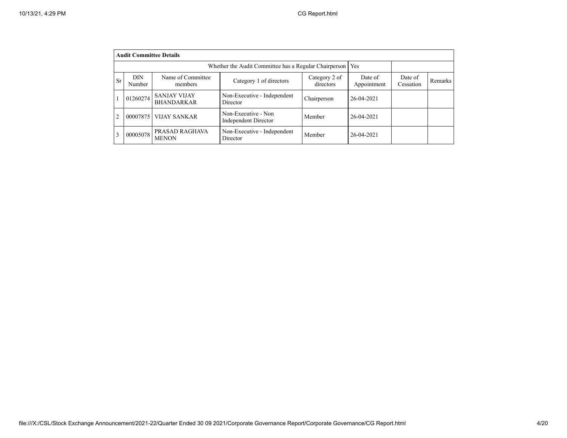|                | <b>Audit Committee Details</b> |                                          |                                                             |                            |                        |                      |         |  |  |  |
|----------------|--------------------------------|------------------------------------------|-------------------------------------------------------------|----------------------------|------------------------|----------------------|---------|--|--|--|
|                |                                |                                          | Whether the Audit Committee has a Regular Chairperson   Yes |                            |                        |                      |         |  |  |  |
| <b>Sr</b>      | DIN<br>Number                  | Name of Committee<br>members             | Category 1 of directors                                     | Category 2 of<br>directors | Date of<br>Appointment | Date of<br>Cessation | Remarks |  |  |  |
|                | 01260274                       | <b>SANJAY VIJAY</b><br><b>BHANDARKAR</b> | Non-Executive - Independent<br>Director                     | Chairperson                | 26-04-2021             |                      |         |  |  |  |
| $\overline{c}$ | 00007875                       | <b>VIJAY SANKAR</b>                      | Non-Executive - Non<br><b>Independent Director</b>          | Member                     | 26-04-2021             |                      |         |  |  |  |
|                | 00005078                       | PRASAD RAGHAVA<br><b>MENON</b>           | Non-Executive - Independent<br>Director                     | Member                     | 26-04-2021             |                      |         |  |  |  |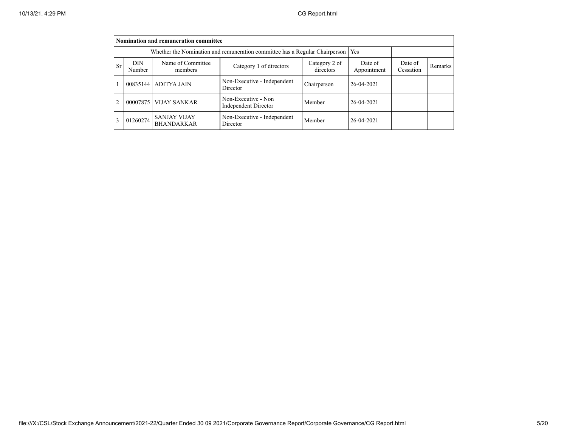|                | Nomination and remuneration committee |                                                                                   |                                                    |                            |                        |                      |         |  |  |  |
|----------------|---------------------------------------|-----------------------------------------------------------------------------------|----------------------------------------------------|----------------------------|------------------------|----------------------|---------|--|--|--|
|                |                                       | Whether the Nomination and remuneration committee has a Regular Chairperson   Yes |                                                    |                            |                        |                      |         |  |  |  |
| <b>Sr</b>      | <b>DIN</b><br>Number                  | Name of Committee<br>members                                                      | Category 1 of directors                            | Category 2 of<br>directors | Date of<br>Appointment | Date of<br>Cessation | Remarks |  |  |  |
|                |                                       | 00835144   ADITYA JAIN                                                            | Non-Executive - Independent<br>Director            | Chairperson                | 26-04-2021             |                      |         |  |  |  |
| $\overline{2}$ | 00007875                              | <b>VIJAY SANKAR</b>                                                               | Non-Executive - Non<br><b>Independent Director</b> | Member                     | 26-04-2021             |                      |         |  |  |  |
| 3              | 01260274                              | <b>SANJAY VIJAY</b><br><b>BHANDARKAR</b>                                          | Non-Executive - Independent<br>Director            | Member                     | 26-04-2021             |                      |         |  |  |  |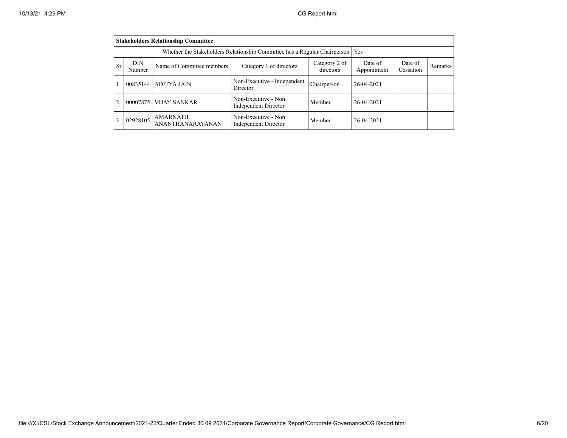|                | <b>Stakeholders Relationship Committee</b>                                                          |                                            |                                                    |             |            |                      |                |  |  |
|----------------|-----------------------------------------------------------------------------------------------------|--------------------------------------------|----------------------------------------------------|-------------|------------|----------------------|----------------|--|--|
|                | Whether the Stakeholders Relationship Committee has a Regular Chairperson<br><b>Yes</b>             |                                            |                                                    |             |            |                      |                |  |  |
| <b>Sr</b>      | DIN<br>Category 2 of<br>Name of Committee members<br>Category 1 of directors<br>directors<br>Number |                                            |                                                    |             |            | Date of<br>Cessation | <b>Remarks</b> |  |  |
|                | 00835144                                                                                            | <b>ADITYA JAIN</b>                         | Non-Executive - Independent<br>Director            | Chairperson | 26-04-2021 |                      |                |  |  |
| $\overline{c}$ | 00007875                                                                                            | <b>VIJAY SANKAR</b>                        | Non-Executive - Non<br><b>Independent Director</b> | Member      | 26-04-2021 |                      |                |  |  |
| 3              | 02928105                                                                                            | <b>AMARNATH</b><br><b>ANANTHANARAYANAN</b> | Non-Executive - Non<br><b>Independent Director</b> | Member      | 26-04-2021 |                      |                |  |  |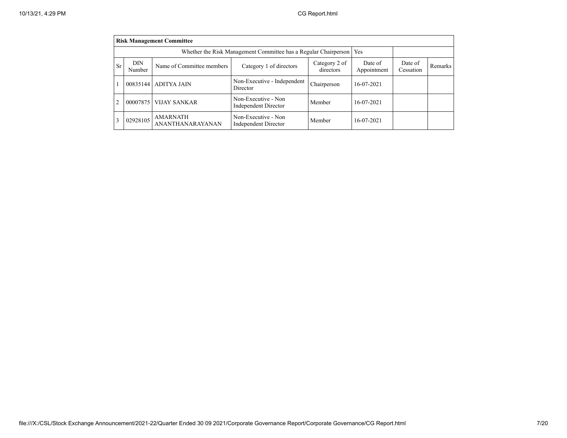|                | <b>Risk Management Committee</b>                                       |                                            |                                                    |             |            |  |  |  |  |
|----------------|------------------------------------------------------------------------|--------------------------------------------|----------------------------------------------------|-------------|------------|--|--|--|--|
|                | Whether the Risk Management Committee has a Regular Chairperson<br>Yes |                                            |                                                    |             |            |  |  |  |  |
| <b>Sr</b>      | DIN<br>Number                                                          | Date of<br>Appointment                     | Date of<br>Cessation                               | Remarks     |            |  |  |  |  |
|                | 00835144                                                               | <b>ADITYA JAIN</b>                         | Non-Executive - Independent<br>Director            | Chairperson | 16-07-2021 |  |  |  |  |
| $\overline{c}$ | 00007875                                                               | <b>VIJAY SANKAR</b>                        | Non-Executive - Non<br><b>Independent Director</b> | Member      | 16-07-2021 |  |  |  |  |
|                | 02928105                                                               | <b>AMARNATH</b><br><b>ANANTHANARAYANAN</b> | Non-Executive - Non<br><b>Independent Director</b> | Member      | 16-07-2021 |  |  |  |  |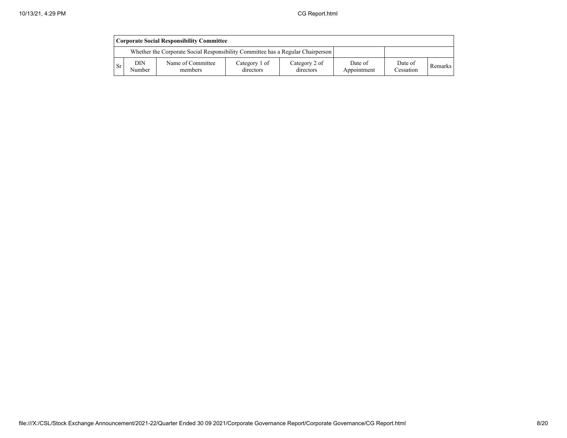|     | <b>Corporate Social Responsibility Committee</b> |                                                                                 |                            |                            |                        |                      |         |  |  |
|-----|--------------------------------------------------|---------------------------------------------------------------------------------|----------------------------|----------------------------|------------------------|----------------------|---------|--|--|
|     |                                                  | Whether the Corporate Social Responsibility Committee has a Regular Chairperson |                            |                            |                        |                      |         |  |  |
| -Sr | DIN<br>Number                                    | Name of Committee<br>members                                                    | Category 1 of<br>directors | Category 2 of<br>directors | Date of<br>Appointment | Date of<br>Cessation | Remarks |  |  |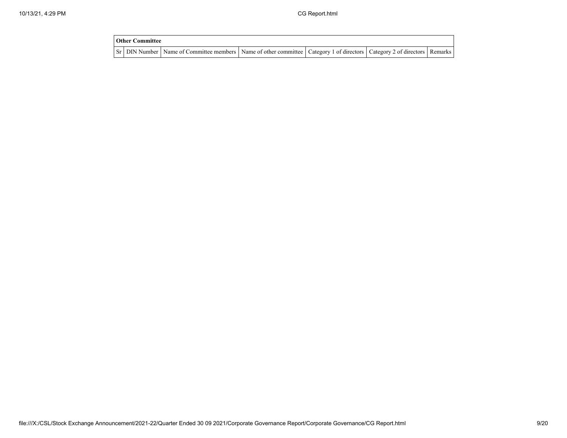| <b>Other Committee</b> |                                                                                                                                     |  |  |
|------------------------|-------------------------------------------------------------------------------------------------------------------------------------|--|--|
|                        | Sr   DIN Number   Name of Committee members   Name of other committee   Category 1 of directors   Category 2 of directors   Remarks |  |  |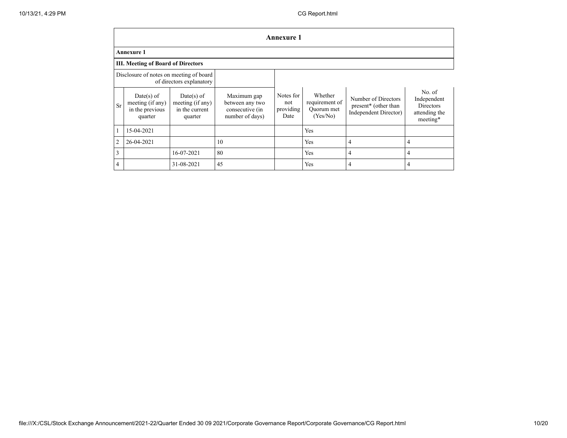|                | <b>Annexure 1</b>                                                   |                                                             |                                                                      |                                       |                                                     |                                                                                  |                                                                        |  |  |  |
|----------------|---------------------------------------------------------------------|-------------------------------------------------------------|----------------------------------------------------------------------|---------------------------------------|-----------------------------------------------------|----------------------------------------------------------------------------------|------------------------------------------------------------------------|--|--|--|
|                | <b>Annexure 1</b>                                                   |                                                             |                                                                      |                                       |                                                     |                                                                                  |                                                                        |  |  |  |
|                | <b>III. Meeting of Board of Directors</b>                           |                                                             |                                                                      |                                       |                                                     |                                                                                  |                                                                        |  |  |  |
|                | Disclosure of notes on meeting of board<br>of directors explanatory |                                                             |                                                                      |                                       |                                                     |                                                                                  |                                                                        |  |  |  |
| <b>Sr</b>      | Date(s) of<br>meeting (if any)<br>in the previous<br>quarter        | Date(s) of<br>meeting (if any)<br>in the current<br>quarter | Maximum gap<br>between any two<br>consecutive (in<br>number of days) | Notes for<br>not<br>providing<br>Date | Whether<br>requirement of<br>Quorum met<br>(Yes/No) | Number of Directors<br>present <sup>*</sup> (other than<br>Independent Director) | No. of<br>Independent<br><b>Directors</b><br>attending the<br>meeting* |  |  |  |
|                | 15-04-2021                                                          |                                                             |                                                                      |                                       | Yes                                                 |                                                                                  |                                                                        |  |  |  |
| $\overline{2}$ | 26-04-2021                                                          |                                                             | 10                                                                   |                                       | Yes                                                 | $\overline{4}$                                                                   | $\overline{4}$                                                         |  |  |  |
| 3              |                                                                     | 16-07-2021                                                  | 80                                                                   |                                       | Yes                                                 | $\overline{4}$                                                                   | 4                                                                      |  |  |  |
| $\overline{4}$ |                                                                     | 31-08-2021                                                  | 45                                                                   |                                       | Yes                                                 | $\overline{4}$                                                                   | 4                                                                      |  |  |  |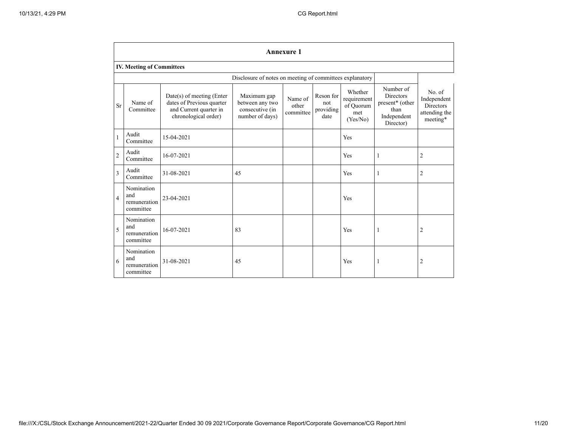|                          | <b>Annexure 1</b>                              |                                                                                                            |                                                                      |                               |                                       |                                                        |                                                                                      |                                                                         |
|--------------------------|------------------------------------------------|------------------------------------------------------------------------------------------------------------|----------------------------------------------------------------------|-------------------------------|---------------------------------------|--------------------------------------------------------|--------------------------------------------------------------------------------------|-------------------------------------------------------------------------|
|                          | <b>IV. Meeting of Committees</b>               |                                                                                                            |                                                                      |                               |                                       |                                                        |                                                                                      |                                                                         |
|                          |                                                |                                                                                                            | Disclosure of notes on meeting of committees explanatory             |                               |                                       |                                                        |                                                                                      |                                                                         |
| <b>Sr</b>                | Name of<br>Committee                           | $Date(s)$ of meeting (Enter<br>dates of Previous quarter<br>and Current quarter in<br>chronological order) | Maximum gap<br>between any two<br>consecutive (in<br>number of days) | Name of<br>other<br>committee | Reson for<br>not<br>providing<br>date | Whether<br>requirement<br>of Quorum<br>met<br>(Yes/No) | Number of<br><b>Directors</b><br>present* (other<br>than<br>Independent<br>Director) | No. of<br>Independent<br>Directors<br>attending the<br>$\rm{meeting}^*$ |
| $\mathbf{1}$             | Audit<br>Committee                             | 15-04-2021                                                                                                 |                                                                      |                               |                                       | Yes                                                    |                                                                                      |                                                                         |
| $\overline{c}$           | Audit<br>Committee                             | 16-07-2021                                                                                                 |                                                                      |                               |                                       | Yes                                                    | 1                                                                                    | $\overline{c}$                                                          |
| 3                        | Audit<br>Committee                             | 31-08-2021                                                                                                 | 45                                                                   |                               |                                       | Yes                                                    | 1                                                                                    | 2                                                                       |
| $\overline{\mathcal{L}}$ | Nomination<br>and<br>remuneration<br>committee | 23-04-2021                                                                                                 |                                                                      |                               |                                       | Yes                                                    |                                                                                      |                                                                         |
| 5                        | Nomination<br>and<br>remuneration<br>committee | 16-07-2021                                                                                                 | 83                                                                   |                               |                                       | Yes                                                    | $\mathbf{1}$                                                                         | 2                                                                       |
| 6                        | Nomination<br>and<br>remuneration<br>committee | 31-08-2021                                                                                                 | 45                                                                   |                               |                                       | Yes                                                    | $\mathbf{1}$                                                                         | 2                                                                       |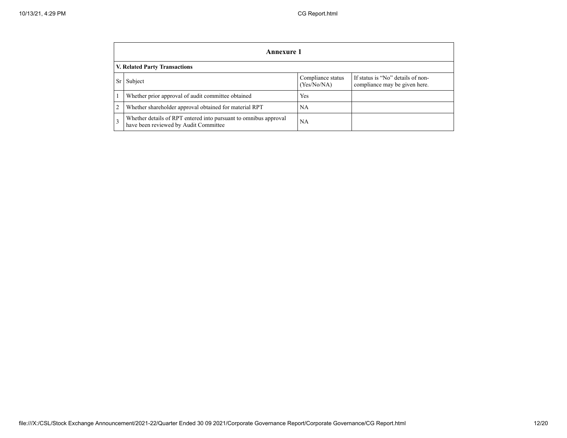|    | <b>Annexure 1</b>                                                                                         |                                  |                                                                    |  |  |  |  |  |
|----|-----------------------------------------------------------------------------------------------------------|----------------------------------|--------------------------------------------------------------------|--|--|--|--|--|
|    | <b>V. Related Party Transactions</b>                                                                      |                                  |                                                                    |  |  |  |  |  |
| Sr | Subject                                                                                                   | Compliance status<br>(Yes/No/NA) | If status is "No" details of non-<br>compliance may be given here. |  |  |  |  |  |
|    | Whether prior approval of audit committee obtained                                                        | Yes                              |                                                                    |  |  |  |  |  |
|    | Whether shareholder approval obtained for material RPT                                                    | NA                               |                                                                    |  |  |  |  |  |
| 3  | Whether details of RPT entered into pursuant to omnibus approval<br>have been reviewed by Audit Committee | NA                               |                                                                    |  |  |  |  |  |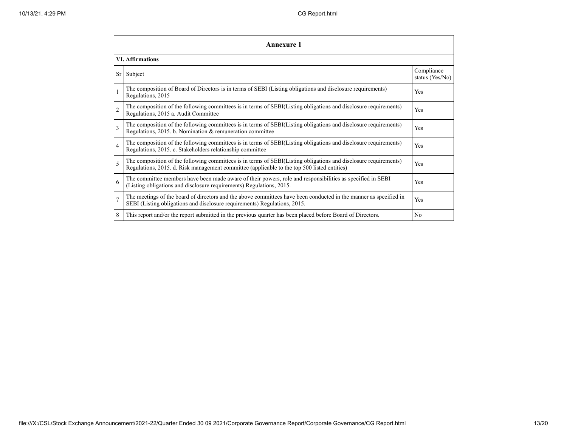|                          | Annexure 1                                                                                                                                                                                                      |                               |  |  |
|--------------------------|-----------------------------------------------------------------------------------------------------------------------------------------------------------------------------------------------------------------|-------------------------------|--|--|
|                          | <b>VI.</b> Affirmations                                                                                                                                                                                         |                               |  |  |
|                          | Sr Subject                                                                                                                                                                                                      | Compliance<br>status (Yes/No) |  |  |
| $\mathbf{1}$             | The composition of Board of Directors is in terms of SEBI (Listing obligations and disclosure requirements)<br>Regulations, 2015                                                                                | Yes                           |  |  |
| $\overline{c}$           | The composition of the following committees is in terms of SEBI(Listing obligations and disclosure requirements)<br>Regulations, 2015 a. Audit Committee                                                        | <b>Yes</b>                    |  |  |
| $\overline{\mathcal{E}}$ | The composition of the following committees is in terms of SEBI(Listing obligations and disclosure requirements)<br>Regulations, 2015. b. Nomination & remuneration committee                                   | Yes                           |  |  |
| $\overline{4}$           | The composition of the following committees is in terms of SEBI(Listing obligations and disclosure requirements)<br>Regulations, 2015. c. Stakeholders relationship committee                                   | Yes                           |  |  |
| 5                        | The composition of the following committees is in terms of SEBI(Listing obligations and disclosure requirements)<br>Regulations, 2015. d. Risk management committee (applicable to the top 500 listed entities) | Yes                           |  |  |
| 6                        | The committee members have been made aware of their powers, role and responsibilities as specified in SEBI<br>(Listing obligations and disclosure requirements) Regulations, 2015.                              | Yes                           |  |  |
| $\overline{7}$           | The meetings of the board of directors and the above committees have been conducted in the manner as specified in<br>SEBI (Listing obligations and disclosure requirements) Regulations, 2015.                  | Yes                           |  |  |
| 8                        | This report and/or the report submitted in the previous quarter has been placed before Board of Directors.                                                                                                      | N <sub>0</sub>                |  |  |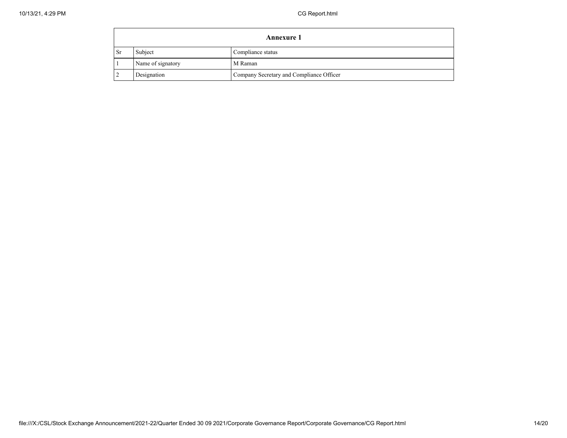| <b>Annexure 1</b> |                   |                                          |
|-------------------|-------------------|------------------------------------------|
| <b>Sr</b>         | Subject           | Compliance status                        |
|                   | Name of signatory | M Raman                                  |
|                   | Designation       | Company Secretary and Compliance Officer |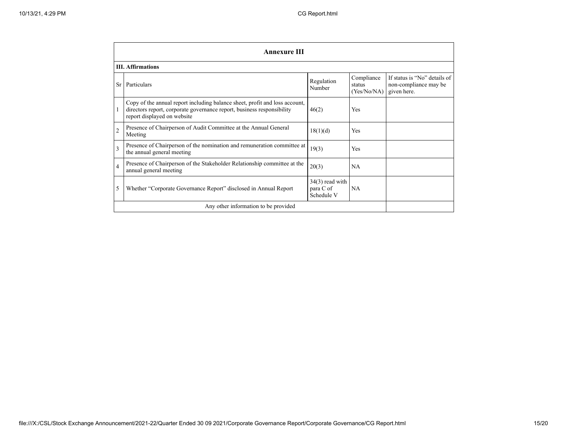|                          | <b>Annexure III</b>                                                                                                                                                                  |                                              |                                     |                                                                      |  |
|--------------------------|--------------------------------------------------------------------------------------------------------------------------------------------------------------------------------------|----------------------------------------------|-------------------------------------|----------------------------------------------------------------------|--|
|                          | <b>III.</b> Affirmations                                                                                                                                                             |                                              |                                     |                                                                      |  |
| Sr                       | Particulars                                                                                                                                                                          | Regulation<br>Number                         | Compliance<br>status<br>(Yes/No/NA) | If status is "No" details of<br>non-compliance may be<br>given here. |  |
|                          | Copy of the annual report including balance sheet, profit and loss account,<br>directors report, corporate governance report, business responsibility<br>report displayed on website | 46(2)                                        | Yes                                 |                                                                      |  |
| $\overline{2}$           | Presence of Chairperson of Audit Committee at the Annual General<br>Meeting                                                                                                          | 18(1)(d)                                     | Yes                                 |                                                                      |  |
| 3                        | Presence of Chairperson of the nomination and remuneration committee at<br>the annual general meeting                                                                                | 19(3)                                        | Yes                                 |                                                                      |  |
| $\overline{\mathcal{L}}$ | Presence of Chairperson of the Stakeholder Relationship committee at the<br>annual general meeting                                                                                   | 20(3)                                        | <b>NA</b>                           |                                                                      |  |
| 5                        | Whether "Corporate Governance Report" disclosed in Annual Report                                                                                                                     | $34(3)$ read with<br>para C of<br>Schedule V | <b>NA</b>                           |                                                                      |  |
|                          | Any other information to be provided                                                                                                                                                 |                                              |                                     |                                                                      |  |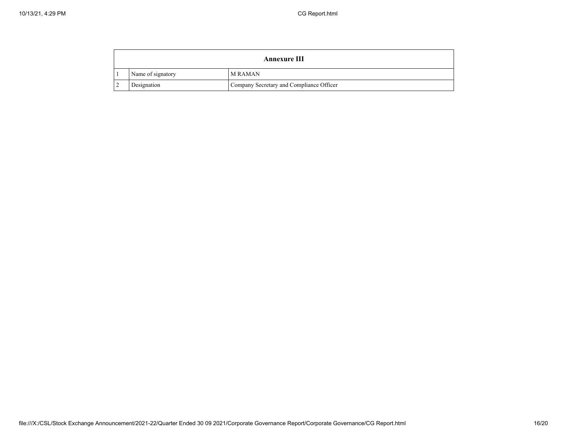| Annexure III      |                                          |  |
|-------------------|------------------------------------------|--|
| Name of signatory | <b>MRAMAN</b>                            |  |
| Designation       | Company Secretary and Compliance Officer |  |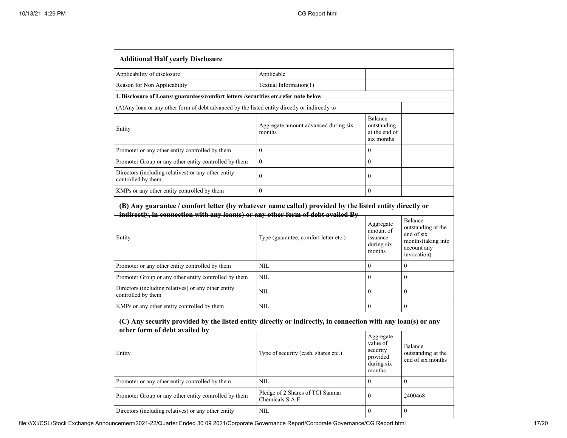| <b>Additional Half yearly Disclosure</b>                                                                                                                                                            |                                                     |                                                                       |                                                                                                         |
|-----------------------------------------------------------------------------------------------------------------------------------------------------------------------------------------------------|-----------------------------------------------------|-----------------------------------------------------------------------|---------------------------------------------------------------------------------------------------------|
| Applicability of disclosure                                                                                                                                                                         | Applicable                                          |                                                                       |                                                                                                         |
| Reason for Non Applicability                                                                                                                                                                        | Textual Information(1)                              |                                                                       |                                                                                                         |
| I. Disclosure of Loans/ guarantees/comfort letters /securities etc.refer note below                                                                                                                 |                                                     |                                                                       |                                                                                                         |
| (A) Any loan or any other form of debt advanced by the listed entity directly or indirectly to                                                                                                      |                                                     |                                                                       |                                                                                                         |
| Entity                                                                                                                                                                                              | Aggregate amount advanced during six<br>months      | Balance<br>outstanding<br>at the end of<br>six months                 |                                                                                                         |
| Promoter or any other entity controlled by them                                                                                                                                                     | $\mathbf{0}$                                        | $\theta$                                                              |                                                                                                         |
| Promoter Group or any other entity controlled by them                                                                                                                                               | $\boldsymbol{0}$                                    | $\overline{0}$                                                        |                                                                                                         |
| Directors (including relatives) or any other entity<br>controlled by them                                                                                                                           | $\mathbf{0}$                                        | $\mathbf{0}$                                                          |                                                                                                         |
| KMPs or any other entity controlled by them                                                                                                                                                         | $\boldsymbol{0}$                                    | $\overline{0}$                                                        |                                                                                                         |
| (B) Any guarantee / comfort letter (by whatever name called) provided by the listed entity directly or<br>indirectly, in connection with any loan(s) or any other form of debt availed By<br>Entity | Type (guarantee, comfort letter etc.)               | Aggregate<br>amount of<br>issuance<br>during six<br>months            | <b>Balance</b><br>outstanding at the<br>end of six<br>months (taking into<br>account any<br>invocation) |
| Promoter or any other entity controlled by them                                                                                                                                                     | <b>NIL</b>                                          | $\theta$                                                              | $\overline{0}$                                                                                          |
| Promoter Group or any other entity controlled by them                                                                                                                                               | NIL                                                 | $\theta$                                                              | $\theta$                                                                                                |
| Directors (including relatives) or any other entity<br>controlled by them                                                                                                                           | <b>NIL</b>                                          | $\mathbf{0}$                                                          | $\mathbf{0}$                                                                                            |
| KMPs or any other entity controlled by them                                                                                                                                                         | <b>NIL</b>                                          | $\theta$                                                              | $\theta$                                                                                                |
| (C) Any security provided by the listed entity directly or indirectly, in connection with any loan(s) or any<br>other form of debt availed by                                                       |                                                     |                                                                       |                                                                                                         |
| Entity                                                                                                                                                                                              | Type of security (cash, shares etc.)                | Aggregate<br>value of<br>security<br>provided<br>during six<br>months | <b>Balance</b><br>outstanding at the<br>end of six months                                               |
| Promoter or any other entity controlled by them                                                                                                                                                     | <b>NIL</b>                                          | $\theta$                                                              | $\theta$                                                                                                |
| Promoter Group or any other entity controlled by them                                                                                                                                               | Pledge of 2 Shares of TCI Sanmar<br>Chemicals S.A.E | $\theta$                                                              | 2400468                                                                                                 |
| Directors (including relatives) or any other entity                                                                                                                                                 | NIL                                                 | $\boldsymbol{0}$                                                      | $\boldsymbol{0}$                                                                                        |

file:///X:/CSL/Stock Exchange Announcement/2021-22/Quarter Ended 30 09 2021/Corporate Governance Report/Corporate Governance/CG Report.html 17/20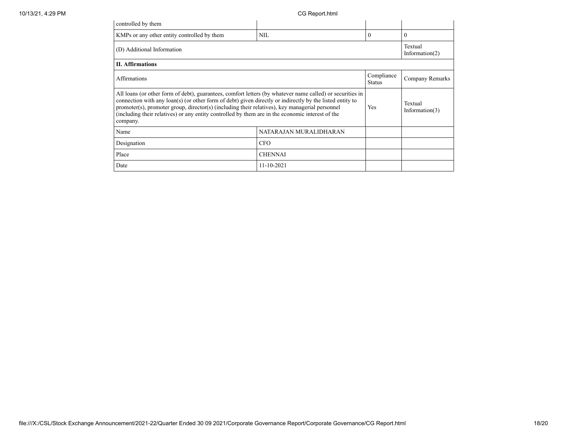| controlled by them                                                                                                                                                                                                                                                                                                                                                                                                                      |                              |          |                              |
|-----------------------------------------------------------------------------------------------------------------------------------------------------------------------------------------------------------------------------------------------------------------------------------------------------------------------------------------------------------------------------------------------------------------------------------------|------------------------------|----------|------------------------------|
| KMPs or any other entity controlled by them                                                                                                                                                                                                                                                                                                                                                                                             | NIL                          | $\theta$ | $\Omega$                     |
| (D) Additional Information                                                                                                                                                                                                                                                                                                                                                                                                              | Textual<br>Information $(2)$ |          |                              |
| <b>II.</b> Affirmations                                                                                                                                                                                                                                                                                                                                                                                                                 |                              |          |                              |
| Compliance<br><b>Affirmations</b><br><b>Status</b>                                                                                                                                                                                                                                                                                                                                                                                      |                              |          | Company Remarks              |
| All loans (or other form of debt), guarantees, comfort letters (by whatever name called) or securities in<br>connection with any loan(s) (or other form of debt) given directly or indirectly by the listed entity to<br>promoter(s), promoter group, director(s) (including their relatives), key managerial personnel<br>(including their relatives) or any entity controlled by them are in the economic interest of the<br>company. |                              |          | Textual<br>Information $(3)$ |
| Name                                                                                                                                                                                                                                                                                                                                                                                                                                    | NATARAJAN MURALIDHARAN       |          |                              |
| Designation                                                                                                                                                                                                                                                                                                                                                                                                                             | <b>CFO</b>                   |          |                              |
| Place                                                                                                                                                                                                                                                                                                                                                                                                                                   | <b>CHENNAI</b>               |          |                              |
| Date                                                                                                                                                                                                                                                                                                                                                                                                                                    | $11 - 10 - 2021$             |          |                              |